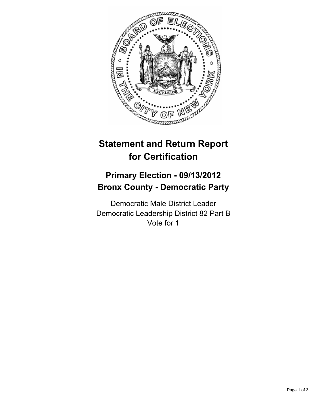

## **Statement and Return Report for Certification**

## **Primary Election - 09/13/2012 Bronx County - Democratic Party**

Democratic Male District Leader Democratic Leadership District 82 Part B Vote for 1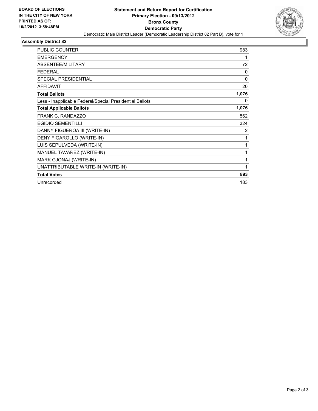

## **Assembly District 82**

| <b>PUBLIC COUNTER</b>                                    | 983      |
|----------------------------------------------------------|----------|
| <b>EMERGENCY</b>                                         | 1        |
| <b>ABSENTEE/MILITARY</b>                                 | 72       |
| <b>FEDERAL</b>                                           | $\Omega$ |
| <b>SPECIAL PRESIDENTIAL</b>                              | $\Omega$ |
| <b>AFFIDAVIT</b>                                         | 20       |
| <b>Total Ballots</b>                                     | 1,076    |
| Less - Inapplicable Federal/Special Presidential Ballots | 0        |
| <b>Total Applicable Ballots</b>                          | 1,076    |
| <b>FRANK C. RANDAZZO</b>                                 | 562      |
| <b>EGIDIO SEMENTILLI</b>                                 | 324      |
| DANNY FIGUEROA III (WRITE-IN)                            | 2        |
| DENY FIGAROLLO (WRITE-IN)                                | 1        |
| LUIS SEPULVEDA (WRITE-IN)                                | 1        |
| MANUEL TAVAREZ (WRITE-IN)                                | 1        |
| MARK GJONAJ (WRITE-IN)                                   | 1        |
| UNATTRIBUTABLE WRITE-IN (WRITE-IN)                       | 1        |
| <b>Total Votes</b>                                       | 893      |
| Unrecorded                                               | 183      |